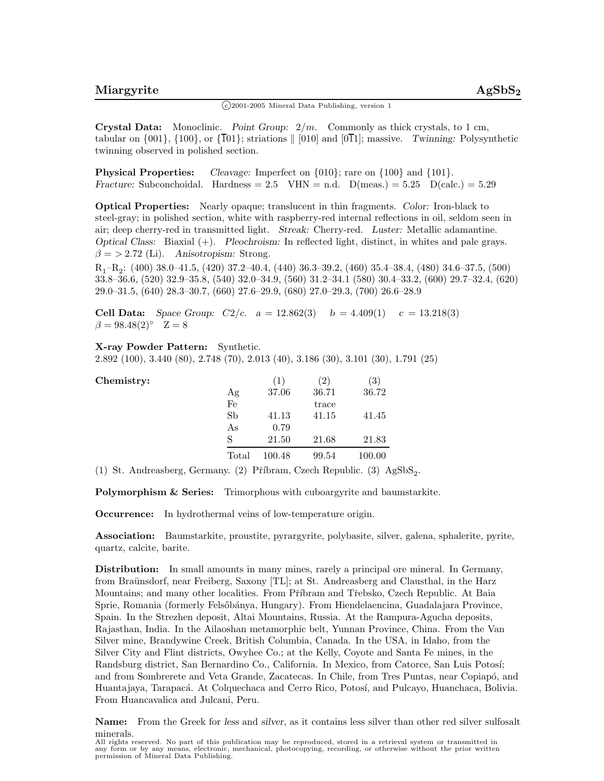## $\binom{c}{2001-2005}$  Mineral Data Publishing, version 1

**Crystal Data:** Monoclinic. *Point Group:* 2*/m.* Commonly as thick crystals, to 1 cm, tabular on  $\{001\}$ ,  $\{100\}$ , or  $\{\overline{101}\}$ ; striations  $\|$  [010] and [011]; massive. *Twinning:* Polysynthetic twinning observed in polished section.

**Physical Properties:** *Cleavage:* Imperfect on  $\{010\}$ ; rare on  $\{100\}$  and  $\{101\}$ . *Fracture:* Subconchoidal. Hardness =  $2.5$  VHN = n.d.  $D(meas.) = 5.25$   $D(calc.) = 5.29$ 

**Optical Properties:** Nearly opaque; translucent in thin fragments. *Color:* Iron-black to steel-gray; in polished section, white with raspberry-red internal reflections in oil, seldom seen in air; deep cherry-red in transmitted light. *Streak:* Cherry-red. *Luster:* Metallic adamantine. *Optical Class:* Biaxial (+). *Pleochroism:* In reflected light, distinct, in whites and pale grays.  $\beta$  = > 2.72 (Li). *Anisotropism:* Strong.

 $R_1-R_2$ : (400) 38.0–41.5, (420) 37.2–40.4, (440) 36.3–39.2, (460) 35.4–38.4, (480) 34.6–37.5, (500) 33.8–36.6, (520) 32.9–35.8, (540) 32.0–34.9, (560) 31.2–34.1 (580) 30.4–33.2, (600) 29.7–32.4, (620) 29.0–31.5, (640) 28.3–30.7, (660) 27.6–29.9, (680) 27.0–29.3, (700) 26.6–28.9

**Cell Data:** *Space Group:*  $C2/c$ .  $a = 12.862(3)$   $b = 4.409(1)$   $c = 13.218(3)$  $\beta = 98.48(2)$ ° Z = 8

## **X-ray Powder Pattern:** Synthetic.

2.892 (100), 3.440 (80), 2.748 (70), 2.013 (40), 3.186 (30), 3.101 (30), 1.791 (25)

| Chemistry: |       | ( T    | 2)    | $\left( 3\right)$ |
|------------|-------|--------|-------|-------------------|
|            | Αg    | 37.06  | 36.71 | 36.72             |
|            | Fe    |        | trace |                   |
|            | Sb    | 41.13  | 41.15 | 41.45             |
|            | As    | 0.79   |       |                   |
|            | S     | 21.50  | 21.68 | 21.83             |
|            | Total | 100.48 | 99.54 | 100.00            |

(1) St. Andreasberg, Germany. (2) Příbram, Czech Republic. (3) AgSbS<sub>2</sub>.

**Polymorphism & Series:** Trimorphous with cuboargyrite and baumstarkite.

**Occurrence:** In hydrothermal veins of low-temperature origin.

**Association:** Baumstarkite, proustite, pyrargyrite, polybasite, silver, galena, sphalerite, pyrite, quartz, calcite, barite.

**Distribution:** In small amounts in many mines, rarely a principal ore mineral. In Germany, from Braünsdorf, near Freiberg, Saxony [TL]; at St. Andreasberg and Clausthal, in the Harz Mountains; and many other localities. From Příbram and Třebsko, Czech Republic. At Baia Sprie, Romania (formerly Felsőbánya, Hungary). From Hiendelaencina, Guadalajara Province, Spain. In the Strezhen deposit, Altai Mountains, Russia. At the Rampura-Agucha deposits, Rajasthan, India. In the Ailaoshan metamorphic belt, Yunnan Province, China. From the Van Silver mine, Brandywine Creek, British Columbia, Canada. In the USA, in Idaho, from the Silver City and Flint districts, Owyhee Co.; at the Kelly, Coyote and Santa Fe mines, in the Randsburg district, San Bernardino Co., California. In Mexico, from Catorce, San Luis Potos´ı; and from Sombrerete and Veta Grande, Zacatecas. In Chile, from Tres Puntas, near Copiapó, and Huantajaya, Tarapacá. At Colquechaca and Cerro Rico, Potosí, and Pulcayo, Huanchaca, Bolivia. From Huancavalica and Julcani, Peru.

**Name:** From the Greek for *less* and *silver*, as it contains less silver than other red silver sulfosalt minerals.